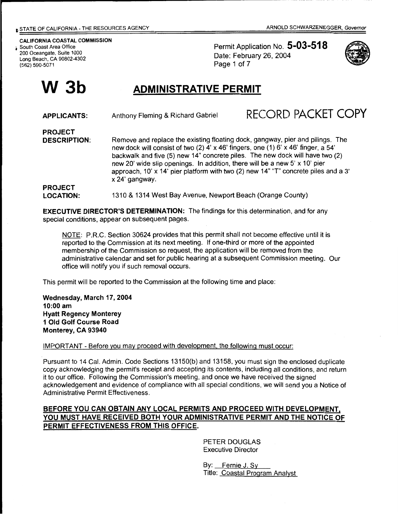#### CALIFORNIA COASTAL COMMISSION

South Coast Area Office 200 Oceangate, Suite 1000 Long Beach, CA 90802-4302 (562) 590-5071

**W3b** 

Permit Application No. **5-03-518**  Date: February 26, 2004 Page 1 of 7



# **ADMINISTRATIVE PERMIT**

| <b>APPLICANTS:</b>                    | Anthony Fleming & Richard Gabriel                                                                                                                                                                                                                                                                                                                                                                                                        | RECORD PACKET COPY |
|---------------------------------------|------------------------------------------------------------------------------------------------------------------------------------------------------------------------------------------------------------------------------------------------------------------------------------------------------------------------------------------------------------------------------------------------------------------------------------------|--------------------|
| <b>PROJECT</b><br><b>DESCRIPTION:</b> | Remove and replace the existing floating dock, gangway, pier and pilings. The<br>new dock will consist of two (2) 4' x 46' fingers, one (1) 6' x 46' finger, a 54'<br>backwalk and five (5) new 14" concrete piles. The new dock will have two (2)<br>new 20' wide slip openings. In addition, there will be a new 5' x 10' pier<br>approach, 10' x 14' pier platform with two (2) new 14" "T" concrete piles and a 3'<br>x 24' gangway. |                    |
| <b>PROJECT</b><br><b>LOCATION:</b>    | 1310 & 1314 West Bay Avenue, Newport Beach (Orange County)                                                                                                                                                                                                                                                                                                                                                                               |                    |

**EXECUTIVE DIRECTOR'S DETERMINATION:** The findings for this determination, and for any special conditions, appear on subsequent pages.

NOTE: P.R.C. Section 30624 provides that this permit shall not become effective until it is reported to the Commission at its next meeting. If one-third or more of the appointed membership of the Commission so request, the application will be removed from the administrative calendar and set for public hearing at a subsequent Commission meeting. Our office will notify you if such removal occurs.

This permit will be reported to the Commission at the following time and place:

**Wednesday, March 17, 2004 10:00 am Hyatt Regency Monterey 1 Old Golf Course Road Monterey, CA 93940** 

IMPORTANT- Before you may proceed with development, the following must occur:

Pursuant to 14 Cal. Admin. Code Sections 13150(b) and 13158, you must sign the enclosed duplicate copy acknowledging the permit's receipt and accepting its contents, including all conditions, and return it to our office. Following the Commission's meeting, and once we have received the signed acknowledgement and evidence of compliance with all special conditions, we will send you a Notice of Administrative Permit Effectiveness.

## **BEFORE YOU CAN OBTAIN ANY LOCAL PERMITS AND PROCEED WITH DEVELOPMENT, YOU MUST HAVE RECEIVED BOTH YOUR ADMINISTRATIVE PERMIT AND THE NOTICE OF PERMIT EFFECTIVENESS FROM THIS OFFICE.**

PETER DOUGLAS Executive Director

By: Fernie J. Sy Title: Coastal Program Analyst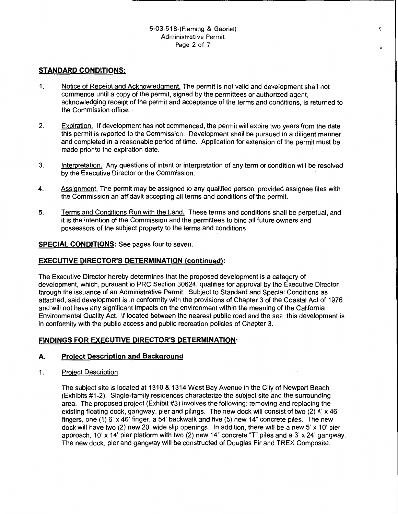#### 5-03-518-(Fieming & Gabriel) Administrative Permit Page 2 of 7

¢

## **STANDARD CONDITIONS:**

- 1. Notice of Receipt and Acknowledgment. The permit is not valid and development shall not commence until a copy of the permit, signed by the permittees or authorized agent, acknowledging receipt of the permit and acceptance of the terms and conditions, is returned to the Commission office.
- 2. Expiration. If development has not commenced, the permit will expire two years from the date this permit is reported to the Commission. Development shall be pursued in a diligent manner and completed in a reasonable period of time. Application for extension of the permit must be made prior to the expiration date.
- 3. Interpretation. Any questions of intent or interpretation of any term or condition will be resolved by the Executive Director or the Commission.
- 4. Assignment. The permit may be assigned to any qualified person, provided assignee files with the Commission an affidavit accepting all terms and conditions of the permit.
- 5. Terms and Conditions Run with the Land. These terms and conditions shall be perpetual, and it is the intention of the Commission and the permittees to bind all future owners and possessors of the subject property to the terms and conditions.

#### **SPECIAL CONDITIONS:** See pages four to seven.

#### **EXECUTIVE DIRECTOR'S DETERMINATION (continued):**

The Executive Director hereby determines that the proposed development is a category of development, which, pursuant to PRC Section 30624, qualifies for approval by the Executive Director through the issuance of an Administrative Permit. Subject to Standard and Special Conditions as attached, said development is in conformity with the provisions of Chapter 3 of the Coastal Act of 1976 and will not have any significant impacts on the environment within the meaning of the California Environmental Quality Act. If located between the nearest public road and the sea, this development is in conformity with the public access and public recreation policies of Chapter 3.

#### **FINDINGS FOR EXECUTIVE DIRECTOR'S DETERMINATION:**

#### **A. Project Description and Background**

1. Project Description

The subject site is located at 1310 & 1314 West Bay Avenue in the City of Newport Beach (Exhibits #1-2). Single-family residences characterize the subject site and the surrounding area. The proposed project (Exhibit #3) involves the following: removing and replacing the existing floating dock, gangway, pier and pilings. The new dock will consist of two (2) 4' x 46' fingers, one (1) 6' x 46' finger, a 54' backwalk and five (5) new 14" concrete piles. The new dock will have two  $(2)$  new 20' wide slip openings. In addition, there will be a new 5' x 10' pier approach, 10' x 14' pier platform with two (2) new 14" concrete "T" piles and a 3' x 24' gangway. The new dock, pier and gangway will be constructed of Douglas Fir and TREX Composite.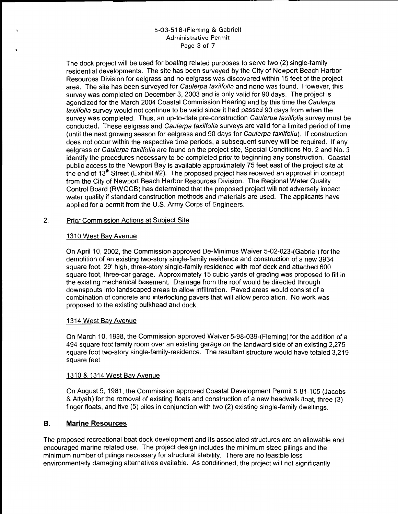#### 5-03-518-(Fieming & Gabriel) Administrative Permit Page 3 of 7

The dock project will be used for boating related purposes to serve two (2) single-family residential developments. The site has been surveyed by the City of Newport Beach Harbor Resources Division for eelgrass and no eelgrass was discovered within 15 feet of the project area. The site has been surveyed for Caulerpa taxilfolia and none was found. However, this survey was completed on December 3, 2003 and is only valid for 90 days. The project is agendized for the March 2004 Coastal Commission Hearing and by this time the Caulerpa taxilfolia survey would not continue to be valid since it had passed 90 days from when the survey was completed. Thus, an up-to-date pre-construction Caulerpa taxilfolia survey must be conducted. These eelgrass and Caulerpa taxilfolia surveys are valid for a limited period of time (until the next growing season for eelgrass and 90 days for Caulerpa taxi/folia). If construction does not occur within the respective time periods, a subsequent survey will be required. If any eelgrass or Caulerpa taxilfolia are found on the project site, Special Conditions No. 2 and No. 3 identify the procedures necessary to be completed prior to beginning any construction. Coastal public access to the Newport Bay is available approximately 75 feet east of the project site at the end of 13<sup>th</sup> Street (Exhibit #2). The proposed project has received an approval in concept from the City of Newport Beach Harbor Resources Division. The Regional Water Quality Control Board (RWQCB) has determined that the proposed project will not adversely impact water quality if standard construction methods and materials are used. The applicants have applied for a permit from the U.S. Army Corps of Engineers.

#### 2. Prior Commission Actions at Subject Site

## 1310 West Bay Avenue

On April 10, 2002, the Commission approved De-Minimus Waiver 5-02-023-(Gabriel) for the demolition of an existing two-story single-family residence and construction of a new 3934 square foot, 29' high, three-story single-family residence with roof deck and attached 600 square foot, three-car garage. Approximately 15 cubic yards of grading was proposed to fill in the existing mechanical basement. Drainage from the roof would be directed through downspouts into landscaped areas to allow infiltration. Paved areas would consist of a combination of concrete and interlocking pavers that will allow percolation. No work was proposed to the existing bulkhead and dock.

#### 1314 West Bay Avenue

On March 10, 1998, the Commission approved Waiver 5-98-039-(Fieming) for the addition of a 494 square foot family room over an existing garage on the landward side of an existing 2,275 square foot two-story single-family-residence. The resultant structure would have totaled 3,219 square feet.

#### 1310 & 1314 West Bay Avenue

On August 5, 1981, the Commission approved Coastal Development Permit 5-81-105 (Jacobs & Attyah) for the removal of existing floats and construction of a new headwalk float, three (3) finger floats, and five (5) piles in conjunction with two (2) existing single-family dwellings.

## **B. Marine Resources**

The proposed recreational boat dock development and its associated structures are an allowable and encouraged marine related use. The project design includes the minimum sized pilings and the minimum number of pilings necessary for structural stability. There are no feasible less environmentally damaging alternatives available. As conditioned, the project will not significantly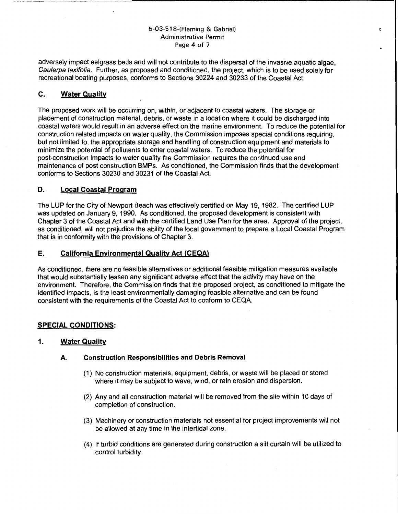#### 5-03-518-(Fieming & Gabriel) Administrative Permit Page 4 of 7

¢

adversely impact eelgrass beds and will not contribute to the dispersal of the invasive aquatic algae, Caulerpa taxifolia. Further, as proposed and conditioned, the project, which is to be used solely for recreational boating purposes, conforms to Sections 30224 and 30233 of the Coastal Act.

# **C. Water Quality**

The proposed work will be occurring on, within, or adjacent to coastal waters. The storage or placement of construction material, debris, or waste in a location where it could be discharged into coastal waters would result in an adverse effect on the marine environment. To reduce the potential for construction related impacts on water quality, the Commission imposes special conditions requiring, but not limited to, the appropriate storage and handling of construction equipment and materials to minimize the potential of pollutants to enter coastal waters. To reduce the potential for post-construction impacts to water quality the Commission requires the continued use and maintenance of post construction BMPs. As conditioned, the Commission finds that the development conforms to Sections 30230 and 30231 of the Coastal Act.

## **D. Local Coastal Program**

The LUP for the City of Newport Beach was effectively certified on May 19, 1982. The certified LUP was updated on January 9, 1990. As conditioned, the proposed development is consistent with Chapter 3 of the Coastal Act and with the certified Land Use Plan for the area. Approval of the project, as conditioned, will not prejudice the ability of the local government to prepare a Local Coastal Program that is in conformity with the provisions of Chapter 3.

## **E.** California Environmental Quality Act (CEQA)

As conditioned, there are no feasible alternatives or additional feasible mitigation measures available that would substantially lessen any significant adverse effect that the activity may have on the environment. Therefore, the Commission finds that the proposed project, as conditioned to mitigate the identified impacts, is the least environmentally damaging feasible alternative and can be found consistent with the requirements of the Coastal Act to conform to CEQA.

## **SPECIAL CONDITIONS:**

## **1. Water Quality**

## **A. Construction Responsibilities and Debris Removal**

- (1) No construction materials, equipment, debris, or waste will be placed or stored where it may be subject to wave, wind, or rain erosion and dispersion.
- (2) Any and all construction material will be removed from the site within 10 days of completion of construction.
- (3) Machinery or construction materials not essential for project improvements will not be allowed at any time in the intertidal zone.
- ( 4) If turbid conditions are generated during construction a silt curtain will be utilized to control turbidity.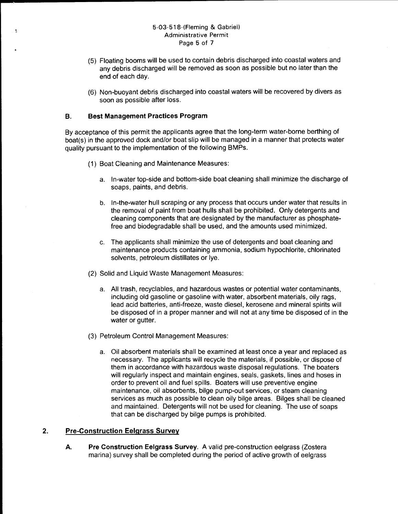#### 5-03-518-(Fieming & Gabriel) Administrative Permit Page 5 of 7

- (5) Floating booms will be used to contain debris discharged into coastal waters and any debris discharged will be removed as soon as possible but no later than the end of each day.
- (6) Non-buoyant debris discharged into coastal waters will be recovered by divers as soon as possible after loss.

### **B. Best Management Practices Program**

By acceptance of this permit the applicants agree that the long-term water-borne berthing of boat(s) in the approved dock and/or boat slip will be managed in a manner that protects water quality pursuant to the implementation of the following BMPs.

- (1) Boat Cleaning and Maintenance Measures:
	- a. In-water top-side and bottom-side boat cleaning shall minimize the discharge of soaps, paints, and debris.
	- b. In-the-water hull scraping or any process that occurs under water that results in the removal of paint from boat hulls shall be prohibited. Only detergents and cleaning components that are designated by the manufacturer as phosphatefree and biodegradable shall be used, and the amounts used minimized.
	- c. The applicants shall minimize the use of detergents and boat cleaning and maintenance products containing ammonia, sodium hypochlorite, chlorinated solvents, petroleum distillates or lye.
- (2) Solid and Liquid Waste Management Measures:
	- a. All trash, recyclables, and hazardous wastes or potential water contaminants, including old gasoline or gasoline with water, absorbent materials, oily rags, lead acid batteries, anti-freeze, waste diesel, kerosene and mineral spirits will be disposed of in a proper manner and will not at any time be disposed of in the water or gutter.
- (3) Petroleum Control Management Measures:
	- a. Oil absorbent materials shall be examined at least once a year and replaced as necessary. The applicants will recycle the materials, if possible, or dispose of them in accordance with hazardous waste disposal regulations. The boaters will regularly inspect and maintain engines, seals, gaskets, lines and hoses in order to prevent oil and fuel spills. Boaters will use preventive engine maintenance, oil absorbents, bilge pump-out services, or steam cleaning services as much as possible to clean oily bilge areas. Bilges shall be cleaned and maintained. Detergents will not be used for cleaning. The use of soaps that can be discharged by bilge pumps is prohibited.

## **2. Pre-Construction Eelgrass Survey**

**A. Pre Construction Eelgrass Survey.** A valid pre-construction eelgrass (Zostera marina) survey shall be completed during the period of active growth of eelgrass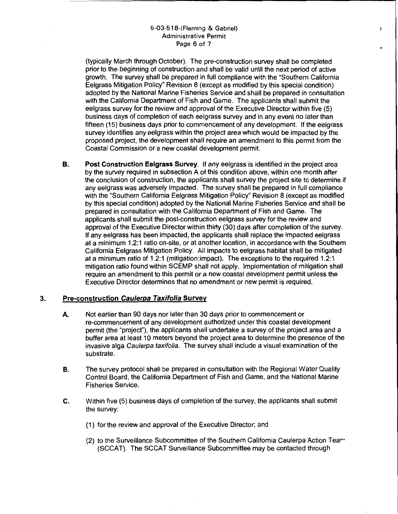#### 5-03-518-(Fieming & Gabriel) Administrative Permit Page 6 of 7

(typically March through October). The pre-construction survey shall be completed prior to the beginning of construction and shall be valid until the next period of active growth. The survey shall be prepared in full compliance with the "Southern California Eelgrass Mitigation Policy" Revision 8 (except as modified by this special condition) adopted by the National Marine Fisheries Service and shall be prepared in consultation with the California Department of Fish and Game. The applicants shall submit the eelgrass survey for the review and approval of the Executive Director within five (5) business days of completion of each eelgrass survey and in any event no later than fifteen (15) business days prior to commencement of any development. If the eelgrass survey identifies any eelgrass within the project area which would be impacted by the proposed project, the development shall require an amendment to this permit from the Coastal Commission or a new coastal development permit.

÷

**B. Post Construction Eelgrass Survey.** If any eelgrass is identified in the project area by the survey required in subsection A of this condition above, within one month after the conclusion of construction, the applicants shall survey the project site to determine if any eelgrass was adversely impacted. The survey shall be prepared in full compliance with the "Southern California Eelgrass Mitigation Policy" Revision 8 (except as modified by this special condition) adopted by the National Marine Fisheries Service and shall be prepared in consultation with the California Department of Fish and Game. The applicants shall submit the post-construction eelgrass survey for the review and approval of the Executive Director within thirty (30) days after completion of the survey. If any eelgrass has been impacted, the applicants shall replace the impacted eelgrass at a minimum 1.2:1 ratio on-site, or at another location, in accordance with the Southern California Eelgrass Mitigation Policy. All impacts to eelgrass habitat shall be mitigated at a minimum ratio of 1.2:1 (mitigation:impact). The exceptions to the required 1.2:1 mitigation ratio found within SCEMP shall not apply. Implementation of mitigation shall require an amendment to this permit or a new coastal development permit unless the Executive Director determines that no amendment or new permit is required.

#### **3. Pre-construction Caulerpa Taxifolia Survey**

- **A.** Not earlier than 90 days nor later than 30 days prior to commencement or re-commencement of any development authorized under this coastal development permit (the "project"), the applicants shall undertake a survey of the project area and a buffer area at least 1 0 meters beyond the project area to determine the presence of the invasive alga Caulerpa taxifolia. The survey shall include a visual examination of the substrate.
- **B.** The survey protocol shall be prepared in consultation with the Regional Water Quality Control Board, the California Department of Fish and Game, and the National Marine Fisheries Service.
- **C.** Within five (5) business days of completion of the survey, the applicants shall submit the survey:
	- (1) for the review and approval of the Executive Director; and
	- (2) to the Surveillance Subcommittee of the Southern California Caulerpa Action Tea $\sim$ (SCCAT). The SCCAT Surveillance Subcommittee may be contacted through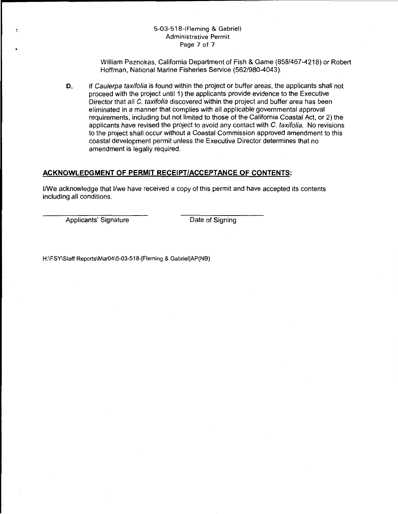### 5-03-518-(Fieming & Gabriel) Administrative Permit Page 7 of 7

William Paznokas, California Department of Fish & Game (858/467-4218) or Robert Hoffman, National Marine Fisheries Service (562/980-4043).

**D.** If Caulerpa taxifolia is found within the project or buffer areas, the applicants shall not proceed with the project until 1) the applicants provide evidence to the Executive Director that all C. taxifolia discovered within the project and buffer area has been eliminated in a manner that complies with all applicable governmental approval requirements, including but not limited to those of the California Coastal Act, or 2) the applicants have revised the project to avoid any contact with C. taxifolia. No revisions to the project shall occur without a Coastal Commission approved amendment to this coastal development permit unless the Executive Director determines that no amendment is legally required.

## **ACKNOWLEDGMENT OF PERMIT RECEIPT/ACCEPTANCE OF CONTENTS:**

1/We acknowledge that 1/we have received a copy of this permit and have accepted its contents including all conditions.

Applicants' Signature Date of Signing

H:\FSY\Staff Reports\Mar04\5-03-518-[Fieming & Gabriei]AP(NB)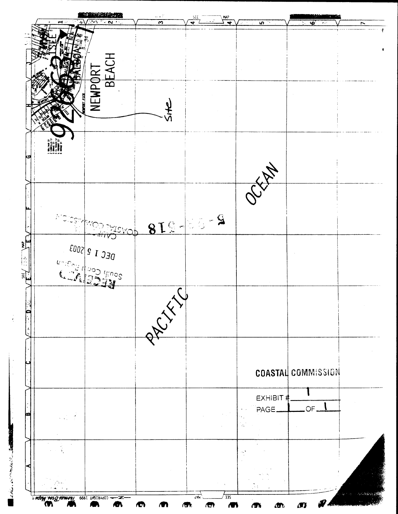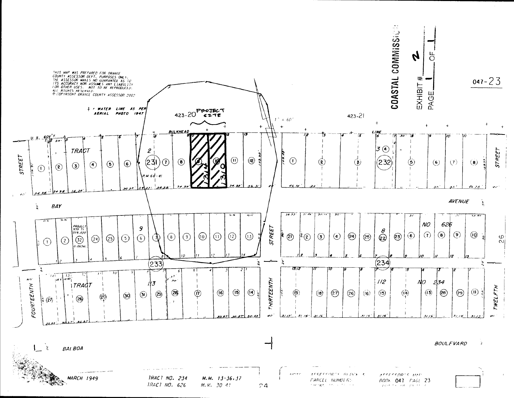